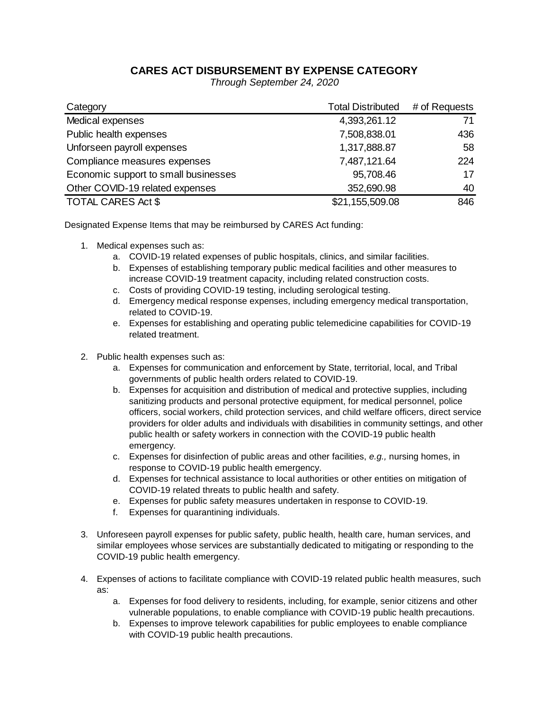## **CARES ACT DISBURSEMENT BY EXPENSE CATEGORY**

*Through September 24, 2020*

| Category                             | <b>Total Distributed</b> | # of Requests |
|--------------------------------------|--------------------------|---------------|
| Medical expenses                     | 4,393,261.12             | 71            |
| Public health expenses               | 7,508,838.01             | 436           |
| Unforseen payroll expenses           | 1,317,888.87             | 58            |
| Compliance measures expenses         | 7,487,121.64             | 224           |
| Economic support to small businesses | 95,708.46                | 17            |
| Other COVID-19 related expenses      | 352,690.98               | 40            |
| <b>TOTAL CARES Act \$</b>            | \$21,155,509.08          | 846           |

Designated Expense Items that may be reimbursed by CARES Act funding:

- 1. Medical expenses such as:
	- a. COVID-19 related expenses of public hospitals, clinics, and similar facilities.
	- b. Expenses of establishing temporary public medical facilities and other measures to increase COVID-19 treatment capacity, including related construction costs.
	- c. Costs of providing COVID-19 testing, including serological testing.
	- d. Emergency medical response expenses, including emergency medical transportation, related to COVID-19.
	- e. Expenses for establishing and operating public telemedicine capabilities for COVID-19 related treatment.
- 2. Public health expenses such as:
	- a. Expenses for communication and enforcement by State, territorial, local, and Tribal governments of public health orders related to COVID-19.
	- b. Expenses for acquisition and distribution of medical and protective supplies, including sanitizing products and personal protective equipment, for medical personnel, police officers, social workers, child protection services, and child welfare officers, direct service providers for older adults and individuals with disabilities in community settings, and other public health or safety workers in connection with the COVID-19 public health emergency.
	- c. Expenses for disinfection of public areas and other facilities, *e.g.,* nursing homes, in response to COVID-19 public health emergency.
	- d. Expenses for technical assistance to local authorities or other entities on mitigation of COVID-19 related threats to public health and safety.
	- e. Expenses for public safety measures undertaken in response to COVID-19.
	- f. Expenses for quarantining individuals.
- 3. Unforeseen payroll expenses for public safety, public health, health care, human services, and similar employees whose services are substantially dedicated to mitigating or responding to the COVID-19 public health emergency.
- 4. Expenses of actions to facilitate compliance with COVID-19 related public health measures, such as:
	- a. Expenses for food delivery to residents, including, for example, senior citizens and other vulnerable populations, to enable compliance with COVID-19 public health precautions.
	- b. Expenses to improve telework capabilities for public employees to enable compliance with COVID-19 public health precautions.